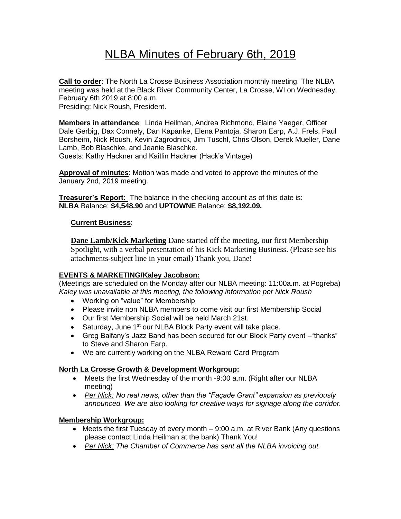# NLBA Minutes of February 6th, 2019

**Call to order**: The North La Crosse Business Association monthly meeting. The NLBA meeting was held at the Black River Community Center, La Crosse, WI on Wednesday, February 6th 2019 at 8:00 a.m. Presiding; Nick Roush, President.

**Members in attendance**: Linda Heilman, Andrea Richmond, Elaine Yaeger, Officer Dale Gerbig, Dax Connely, Dan Kapanke, Elena Pantoja, Sharon Earp, A.J. Frels, Paul Borsheim, Nick Roush, Kevin Zagrodnick, Jim Tuschl, Chris Olson, Derek Mueller, Dane Lamb, Bob Blaschke, and Jeanie Blaschke.

Guests: Kathy Hackner and Kaitlin Hackner (Hack's Vintage)

**Approval of minutes**: Motion was made and voted to approve the minutes of the January 2nd, 2019 meeting.

**Treasurer's Report:** The balance in the checking account as of this date is: **NLBA** Balance: **\$4,548.90** and **UPTOWNE** Balance: **\$8,192.09.**

#### **Current Business**:

**Dane Lamb/Kick Marketing** Dane started off the meeting, our first Membership Spotlight, with a verbal presentation of his Kick Marketing Business. (Please see his attachments-subject line in your email) Thank you, Dane!

## **EVENTS & MARKETING/Kaley Jacobson:**

(Meetings are scheduled on the Monday after our NLBA meeting: 11:00a.m. at Pogreba) *Kaley was unavailable at this meeting, the following information per Nick Roush*

- Working on "value" for Membership
- Please invite non NLBA members to come visit our first Membership Social
- Our first Membership Social will be held March 21st.
- Saturday, June 1<sup>st</sup> our NLBA Block Party event will take place.
- Greg Balfany's Jazz Band has been secured for our Block Party event –"thanks" to Steve and Sharon Earp.
- We are currently working on the NLBA Reward Card Program

## **North La Crosse Growth & Development Workgroup:**

- Meets the first Wednesday of the month -9:00 a.m. (Right after our NLBA meeting)
- *Per Nick: No real news, other than the "Façade Grant" expansion as previously announced. We are also looking for creative ways for signage along the corridor.*

## **Membership Workgroup:**

- Meets the first Tuesday of every month 9:00 a.m. at River Bank (Any questions please contact Linda Heilman at the bank) Thank You!
- *Per Nick: The Chamber of Commerce has sent all the NLBA invoicing out.*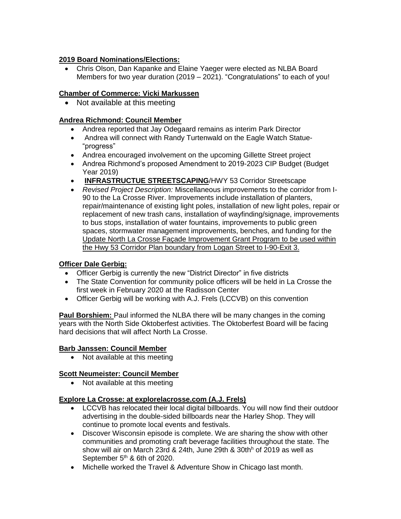## **2019 Board Nominations/Elections:**

• Chris Olson, Dan Kapanke and Elaine Yaeger were elected as NLBA Board Members for two year duration (2019 – 2021). "Congratulations" to each of you!

## **Chamber of Commerce: Vicki Markussen**

• Not available at this meeting

## **Andrea Richmond: Council Member**

- Andrea reported that Jay Odegaard remains as interim Park Director
- Andrea will connect with Randy Turtenwald on the Eagle Watch Statue- "progress"
- Andrea encouraged involvement on the upcoming Gillette Street project
- Andrea Richmond's proposed Amendment to 2019-2023 CIP Budget (Budget Year 2019)
- **INFRASTRUCTUE STREETSCAPING**/HWY 53 Corridor Streetscape
- *Revised Project Description:* Miscellaneous improvements to the corridor from I-90 to the La Crosse River. Improvements include installation of planters, repair/maintenance of existing light poles, installation of new light poles, repair or replacement of new trash cans, installation of wayfinding/signage, improvements to bus stops, installation of water fountains, improvements to public green spaces, stormwater management improvements, benches, and funding for the Update North La Crosse Façade Improvement Grant Program to be used within the Hwy 53 Corridor Plan boundary from Logan Street to I-90-Exit 3.

## **Officer Dale Gerbig:**

- Officer Gerbig is currently the new "District Director" in five districts
- The State Convention for community police officers will be held in La Crosse the first week in February 2020 at the Radisson Center
- Officer Gerbig will be working with A.J. Frels (LCCVB) on this convention

**Paul Borshiem:** Paul informed the NLBA there will be many changes in the coming years with the North Side Oktoberfest activities. The Oktoberfest Board will be facing hard decisions that will affect North La Crosse.

## **Barb Janssen: Council Member**

• Not available at this meeting

## **Scott Neumeister: Council Member**

• Not available at this meeting

## **Explore La Crosse: at explorelacrosse.com (A.J. Frels)**

- LCCVB has relocated their local digital billboards. You will now find their outdoor advertising in the double-sided billboards near the Harley Shop. They will continue to promote local events and festivals.
- Discover Wisconsin episode is complete. We are sharing the show with other communities and promoting craft beverage facilities throughout the state. The show will air on March 23rd & 24th, June 29th & 30th<sup>h</sup> of 2019 as well as September 5<sup>th</sup> & 6th of 2020.
- Michelle worked the Travel & Adventure Show in Chicago last month.